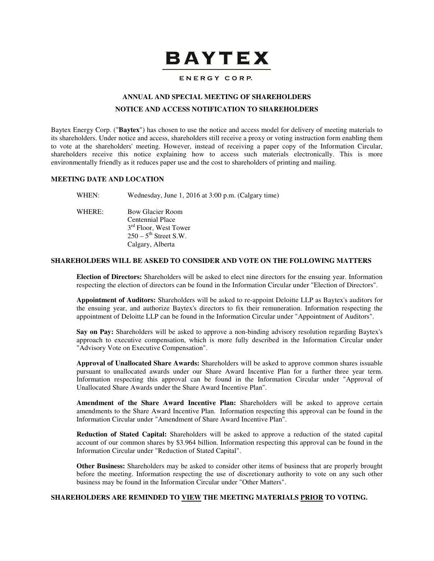# **BAYTEX**

# ENERGY CORP.

# **ANNUAL AND SPECIAL MEETING OF SHAREHOLDERS**

# **NOTICE AND ACCESS NOTIFICATION TO SHAREHOLDERS**

Baytex Energy Corp. ("**Baytex**") has chosen to use the notice and access model for delivery of meeting materials to its shareholders. Under notice and access, shareholders still receive a proxy or voting instruction form enabling them to vote at the shareholders' meeting. However, instead of receiving a paper copy of the Information Circular, shareholders receive this notice explaining how to access such materials electronically. This is more environmentally friendly as it reduces paper use and the cost to shareholders of printing and mailing.

# **MEETING DATE AND LOCATION**

WHEN: Wednesday, June 1, 2016 at 3:00 p.m. (Calgary time)

WHERE: Bow Glacier Room Centennial Place 3<sup>rd</sup> Floor, West Tower  $250 - 5$ <sup>th</sup> Street S.W. Calgary, Alberta

#### **SHAREHOLDERS WILL BE ASKED TO CONSIDER AND VOTE ON THE FOLLOWING MATTERS**

**Election of Directors:** Shareholders will be asked to elect nine directors for the ensuing year. Information respecting the election of directors can be found in the Information Circular under "Election of Directors".

**Appointment of Auditors:** Shareholders will be asked to re-appoint Deloitte LLP as Baytex's auditors for the ensuing year, and authorize Baytex's directors to fix their remuneration. Information respecting the appointment of Deloitte LLP can be found in the Information Circular under "Appointment of Auditors".

**Say on Pay:** Shareholders will be asked to approve a non-binding advisory resolution regarding Baytex's approach to executive compensation, which is more fully described in the Information Circular under "Advisory Vote on Executive Compensation".

**Approval of Unallocated Share Awards:** Shareholders will be asked to approve common shares issuable pursuant to unallocated awards under our Share Award Incentive Plan for a further three year term. Information respecting this approval can be found in the Information Circular under "Approval of Unallocated Share Awards under the Share Award Incentive Plan".

**Amendment of the Share Award Incentive Plan:** Shareholders will be asked to approve certain amendments to the Share Award Incentive Plan. Information respecting this approval can be found in the Information Circular under "Amendment of Share Award Incentive Plan".

**Reduction of Stated Capital:** Shareholders will be asked to approve a reduction of the stated capital account of our common shares by \$3.964 billion. Information respecting this approval can be found in the Information Circular under "Reduction of Stated Capital".

**Other Business:** Shareholders may be asked to consider other items of business that are properly brought before the meeting. Information respecting the use of discretionary authority to vote on any such other business may be found in the Information Circular under "Other Matters".

#### **SHAREHOLDERS ARE REMINDED TO VIEW THE MEETING MATERIALS PRIOR TO VOTING.**